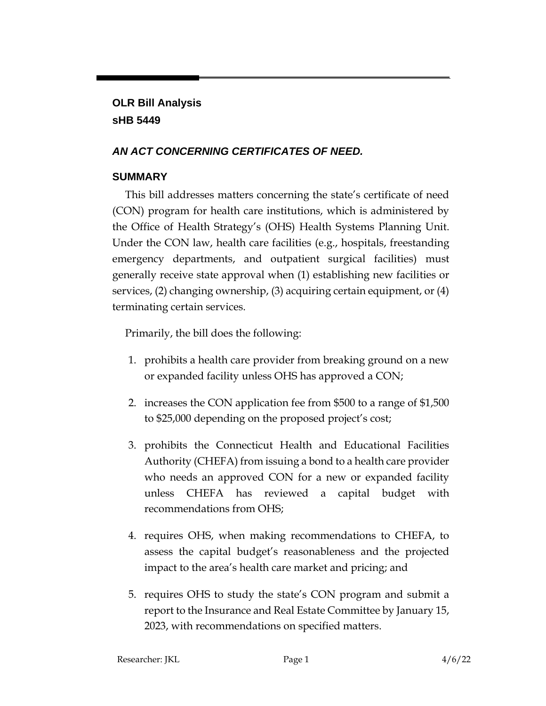# **OLR Bill Analysis sHB 5449**

## *AN ACT CONCERNING CERTIFICATES OF NEED.*

## **SUMMARY**

This bill addresses matters concerning the state's certificate of need (CON) program for health care institutions, which is administered by the Office of Health Strategy's (OHS) Health Systems Planning Unit. Under the CON law, health care facilities (e.g., hospitals, freestanding emergency departments, and outpatient surgical facilities) must generally receive state approval when (1) establishing new facilities or services, (2) changing ownership, (3) acquiring certain equipment, or (4) terminating certain services.

Primarily, the bill does the following:

- 1. prohibits a health care provider from breaking ground on a new or expanded facility unless OHS has approved a CON;
- 2. increases the CON application fee from \$500 to a range of \$1,500 to \$25,000 depending on the proposed project's cost;
- 3. prohibits the Connecticut Health and Educational Facilities Authority (CHEFA) from issuing a bond to a health care provider who needs an approved CON for a new or expanded facility unless CHEFA has reviewed a capital budget with recommendations from OHS;
- 4. requires OHS, when making recommendations to CHEFA, to assess the capital budget's reasonableness and the projected impact to the area's health care market and pricing; and
- 5. requires OHS to study the state's CON program and submit a report to the Insurance and Real Estate Committee by January 15, 2023, with recommendations on specified matters.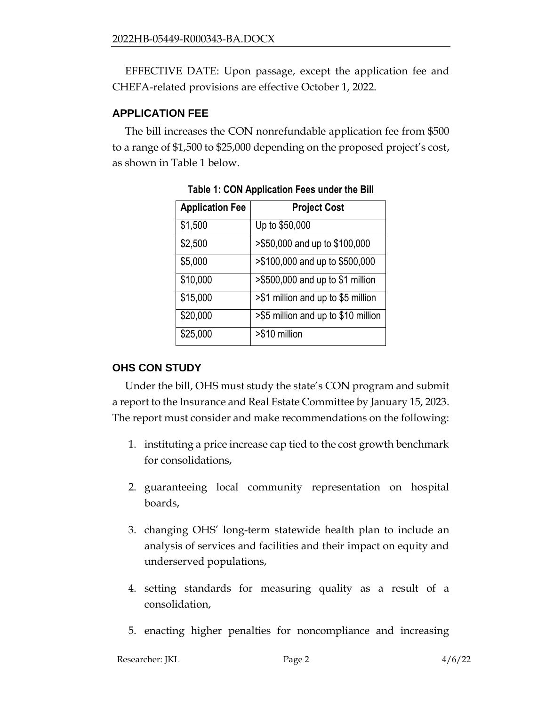EFFECTIVE DATE: Upon passage, except the application fee and CHEFA-related provisions are effective October 1, 2022.

#### **APPLICATION FEE**

The bill increases the CON nonrefundable application fee from \$500 to a range of \$1,500 to \$25,000 depending on the proposed project's cost, as shown in Table 1 below.

| <b>Application Fee</b> | <b>Project Cost</b>                 |
|------------------------|-------------------------------------|
| \$1,500                | Up to \$50,000                      |
| \$2,500                | >\$50,000 and up to \$100,000       |
| \$5,000                | >\$100,000 and up to \$500,000      |
| \$10,000               | $> $500,000$ and up to \$1 million  |
| \$15,000               | >\$1 million and up to \$5 million  |
| \$20,000               | >\$5 million and up to \$10 million |
| \$25,000               | >\$10 million                       |

**Table 1: CON Application Fees under the Bill**

# **OHS CON STUDY**

Under the bill, OHS must study the state's CON program and submit a report to the Insurance and Real Estate Committee by January 15, 2023. The report must consider and make recommendations on the following:

- 1. instituting a price increase cap tied to the cost growth benchmark for consolidations,
- 2. guaranteeing local community representation on hospital boards,
- 3. changing OHS' long-term statewide health plan to include an analysis of services and facilities and their impact on equity and underserved populations,
- 4. setting standards for measuring quality as a result of a consolidation,
- 5. enacting higher penalties for noncompliance and increasing